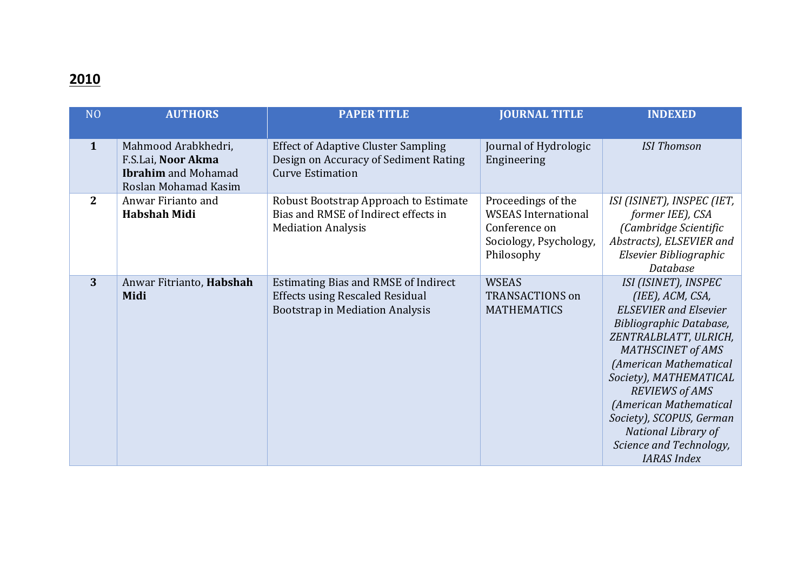## **2010**

| N <sub>O</sub> | <b>AUTHORS</b>                                                                                  | <b>PAPER TITLE</b>                                                                                                              | <b>JOURNAL TITLE</b>                                                                                      | <b>INDEXED</b>                                                                                                                                                                                                                                                                                                                                                      |
|----------------|-------------------------------------------------------------------------------------------------|---------------------------------------------------------------------------------------------------------------------------------|-----------------------------------------------------------------------------------------------------------|---------------------------------------------------------------------------------------------------------------------------------------------------------------------------------------------------------------------------------------------------------------------------------------------------------------------------------------------------------------------|
|                |                                                                                                 |                                                                                                                                 |                                                                                                           |                                                                                                                                                                                                                                                                                                                                                                     |
| $\mathbf{1}$   | Mahmood Arabkhedri,<br>F.S.Lai, Noor Akma<br><b>Ibrahim</b> and Mohamad<br>Roslan Mohamad Kasim | <b>Effect of Adaptive Cluster Sampling</b><br>Design on Accuracy of Sediment Rating<br><b>Curve Estimation</b>                  | Journal of Hydrologic<br>Engineering                                                                      | <b>ISI Thomson</b>                                                                                                                                                                                                                                                                                                                                                  |
| $\mathbf{2}$   | Anwar Firianto and<br><b>Habshah Midi</b>                                                       | Robust Bootstrap Approach to Estimate<br>Bias and RMSE of Indirect effects in<br><b>Mediation Analysis</b>                      | Proceedings of the<br><b>WSEAS</b> International<br>Conference on<br>Sociology, Psychology,<br>Philosophy | ISI (ISINET), INSPEC (IET,<br>former IEE), CSA<br>(Cambridge Scientific<br>Abstracts), ELSEVIER and<br>Elsevier Bibliographic<br>Database                                                                                                                                                                                                                           |
| 3              | Anwar Fitrianto, Habshah<br>Midi                                                                | <b>Estimating Bias and RMSE of Indirect</b><br><b>Effects using Rescaled Residual</b><br><b>Bootstrap in Mediation Analysis</b> | <b>WSEAS</b><br><b>TRANSACTIONS on</b><br><b>MATHEMATICS</b>                                              | ISI (ISINET), INSPEC<br>(IEE), ACM, CSA,<br><b>ELSEVIER</b> and Elsevier<br>Bibliographic Database,<br>ZENTRALBLATT, ULRICH,<br><b>MATHSCINET of AMS</b><br>(American Mathematical<br>Society), MATHEMATICAL<br><b>REVIEWS of AMS</b><br>(American Mathematical<br>Society), SCOPUS, German<br>National Library of<br>Science and Technology,<br><b>IARAS</b> Index |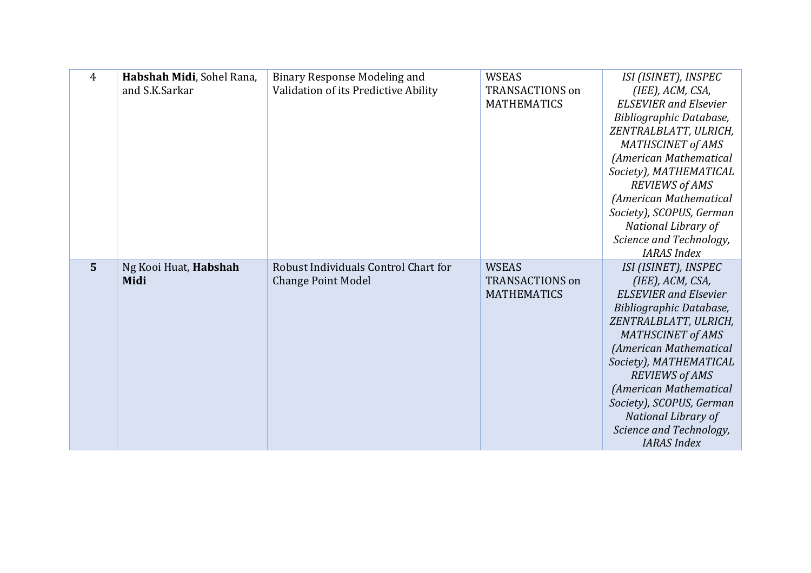| 4              | Habshah Midi, Sohel Rana, | <b>Binary Response Modeling and</b>  | <b>WSEAS</b>           | ISI (ISINET), INSPEC                               |
|----------------|---------------------------|--------------------------------------|------------------------|----------------------------------------------------|
|                | and S.K.Sarkar            | Validation of its Predictive Ability | <b>TRANSACTIONS on</b> | (IEE), ACM, CSA,                                   |
|                |                           |                                      | <b>MATHEMATICS</b>     | <b>ELSEVIER</b> and Elsevier                       |
|                |                           |                                      |                        | Bibliographic Database,                            |
|                |                           |                                      |                        | ZENTRALBLATT, ULRICH,                              |
|                |                           |                                      |                        | <b>MATHSCINET of AMS</b>                           |
|                |                           |                                      |                        | (American Mathematical                             |
|                |                           |                                      |                        | Society), MATHEMATICAL<br><b>REVIEWS of AMS</b>    |
|                |                           |                                      |                        | (American Mathematical                             |
|                |                           |                                      |                        | Society), SCOPUS, German                           |
|                |                           |                                      |                        | National Library of                                |
|                |                           |                                      |                        | Science and Technology,                            |
|                |                           |                                      |                        | <b>IARAS</b> Index                                 |
|                |                           |                                      |                        |                                                    |
| $5\phantom{1}$ | Ng Kooi Huat, Habshah     | Robust Individuals Control Chart for | <b>WSEAS</b>           | ISI (ISINET), INSPEC                               |
|                | Midi                      | <b>Change Point Model</b>            | <b>TRANSACTIONS on</b> | (IEE), ACM, CSA,                                   |
|                |                           |                                      | <b>MATHEMATICS</b>     | <b>ELSEVIER</b> and Elsevier                       |
|                |                           |                                      |                        | Bibliographic Database,                            |
|                |                           |                                      |                        | ZENTRALBLATT, ULRICH,                              |
|                |                           |                                      |                        | <b>MATHSCINET of AMS</b>                           |
|                |                           |                                      |                        | (American Mathematical                             |
|                |                           |                                      |                        | Society), MATHEMATICAL                             |
|                |                           |                                      |                        | <b>REVIEWS of AMS</b>                              |
|                |                           |                                      |                        | (American Mathematical<br>Society), SCOPUS, German |
|                |                           |                                      |                        | National Library of                                |
|                |                           |                                      |                        | Science and Technology,                            |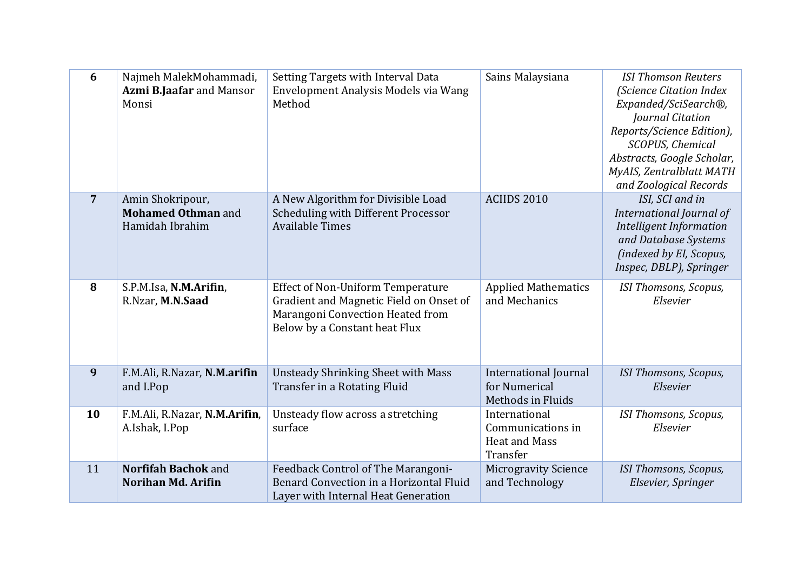| 6              | Najmeh MalekMohammadi,<br>Azmi B.Jaafar and Mansor<br>Monsi      | Setting Targets with Interval Data<br>Envelopment Analysis Models via Wang<br>Method                                                                     | Sains Malaysiana                                                       | <b>ISI Thomson Reuters</b><br>(Science Citation Index<br>Expanded/SciSearch®,<br>Journal Citation<br>Reports/Science Edition),<br>SCOPUS, Chemical<br>Abstracts, Google Scholar,<br>MyAIS, Zentralblatt MATH<br>and Zoological Records |
|----------------|------------------------------------------------------------------|----------------------------------------------------------------------------------------------------------------------------------------------------------|------------------------------------------------------------------------|----------------------------------------------------------------------------------------------------------------------------------------------------------------------------------------------------------------------------------------|
| $\overline{7}$ | Amin Shokripour,<br><b>Mohamed Othman and</b><br>Hamidah Ibrahim | A New Algorithm for Divisible Load<br>Scheduling with Different Processor<br><b>Available Times</b>                                                      | ACIIDS 2010                                                            | ISI, SCI and in<br>International Journal of<br>Intelligent Information<br>and Database Systems<br>(indexed by El, Scopus,<br>Inspec, DBLP), Springer                                                                                   |
| 8              | S.P.M.Isa, N.M.Arifin,<br>R.Nzar, M.N.Saad                       | <b>Effect of Non-Uniform Temperature</b><br>Gradient and Magnetic Field on Onset of<br>Marangoni Convection Heated from<br>Below by a Constant heat Flux | <b>Applied Mathematics</b><br>and Mechanics                            | ISI Thomsons, Scopus,<br>Elsevier                                                                                                                                                                                                      |
| 9              | F.M.Ali, R.Nazar, N.M.arifin<br>and I.Pop                        | <b>Unsteady Shrinking Sheet with Mass</b><br>Transfer in a Rotating Fluid                                                                                | <b>International Journal</b><br>for Numerical<br>Methods in Fluids     | <b>ISI Thomsons, Scopus,</b><br>Elsevier                                                                                                                                                                                               |
| 10             | F.M.Ali, R.Nazar, N.M.Arifin,<br>A.Ishak, I.Pop                  | Unsteady flow across a stretching<br>surface                                                                                                             | International<br>Communications in<br><b>Heat and Mass</b><br>Transfer | ISI Thomsons, Scopus,<br>Elsevier                                                                                                                                                                                                      |
| 11             | Norfifah Bachok and<br><b>Norihan Md. Arifin</b>                 | Feedback Control of The Marangoni-<br>Benard Convection in a Horizontal Fluid<br>Layer with Internal Heat Generation                                     | <b>Microgravity Science</b><br>and Technology                          | ISI Thomsons, Scopus,<br>Elsevier, Springer                                                                                                                                                                                            |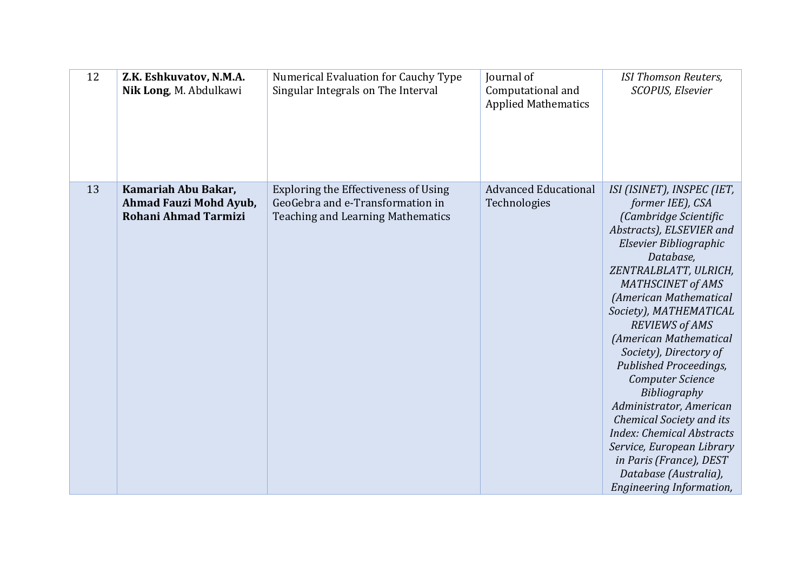| 12 | Z.K. Eshkuvatov, N.M.A.<br>Nik Long, M. Abdulkawi                            | Numerical Evaluation for Cauchy Type<br>Singular Integrals on The Interval                                           | Journal of<br>Computational and<br><b>Applied Mathematics</b> | <b>ISI Thomson Reuters,</b><br><b>SCOPUS, Elsevier</b>                                                                                                                                                                                                                                                                                                                                                                                                                                                                                                                                                               |
|----|------------------------------------------------------------------------------|----------------------------------------------------------------------------------------------------------------------|---------------------------------------------------------------|----------------------------------------------------------------------------------------------------------------------------------------------------------------------------------------------------------------------------------------------------------------------------------------------------------------------------------------------------------------------------------------------------------------------------------------------------------------------------------------------------------------------------------------------------------------------------------------------------------------------|
| 13 | Kamariah Abu Bakar,<br>Ahmad Fauzi Mohd Ayub,<br><b>Rohani Ahmad Tarmizi</b> | Exploring the Effectiveness of Using<br>GeoGebra and e-Transformation in<br><b>Teaching and Learning Mathematics</b> | <b>Advanced Educational</b><br>Technologies                   | ISI (ISINET), INSPEC (IET,<br>former IEE), CSA<br>(Cambridge Scientific<br>Abstracts), ELSEVIER and<br>Elsevier Bibliographic<br>Database,<br>ZENTRALBLATT, ULRICH,<br><b>MATHSCINET of AMS</b><br>(American Mathematical<br>Society), MATHEMATICAL<br><b>REVIEWS of AMS</b><br>(American Mathematical<br>Society), Directory of<br>Published Proceedings,<br><b>Computer Science</b><br>Bibliography<br>Administrator, American<br><b>Chemical Society and its</b><br><b>Index: Chemical Abstracts</b><br>Service, European Library<br>in Paris (France), DEST<br>Database (Australia),<br>Engineering Information, |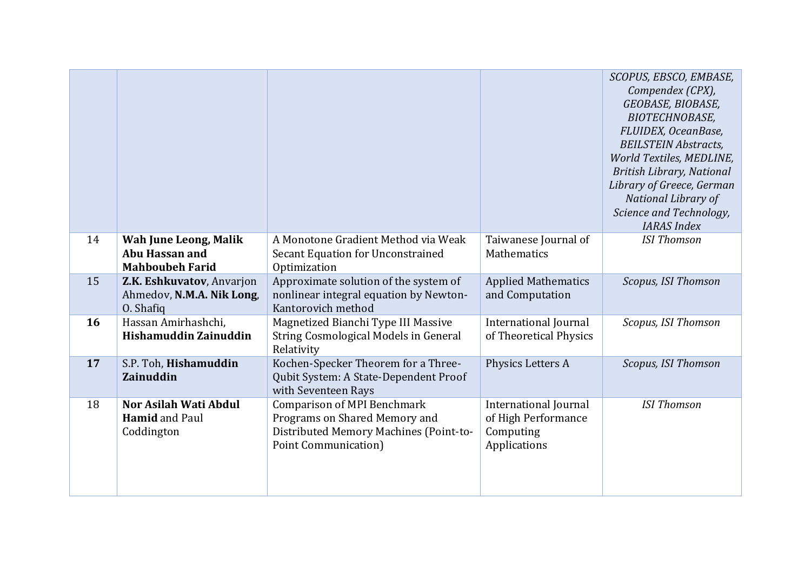|    |                                                                          |                                                                                                                                               |                                                                                  | SCOPUS, EBSCO, EMBASE,<br>Compendex (CPX),<br>GEOBASE, BIOBASE,<br><b>BIOTECHNOBASE,</b><br>FLUIDEX, OceanBase,<br><b>BEILSTEIN Abstracts,</b><br>World Textiles, MEDLINE,<br><b>British Library, National</b><br>Library of Greece, German<br>National Library of<br>Science and Technology,<br><b>IARAS</b> Index |
|----|--------------------------------------------------------------------------|-----------------------------------------------------------------------------------------------------------------------------------------------|----------------------------------------------------------------------------------|---------------------------------------------------------------------------------------------------------------------------------------------------------------------------------------------------------------------------------------------------------------------------------------------------------------------|
| 14 | Wah June Leong, Malik<br><b>Abu Hassan and</b><br><b>Mahboubeh Farid</b> | A Monotone Gradient Method via Weak<br>Secant Equation for Unconstrained<br>Optimization                                                      | Taiwanese Journal of<br>Mathematics                                              | <b>ISI Thomson</b>                                                                                                                                                                                                                                                                                                  |
| 15 | Z.K. Eshkuvatov, Anvarjon<br>Ahmedov, N.M.A. Nik Long,<br>O. Shafiq      | Approximate solution of the system of<br>nonlinear integral equation by Newton-<br>Kantorovich method                                         | <b>Applied Mathematics</b><br>and Computation                                    | Scopus, ISI Thomson                                                                                                                                                                                                                                                                                                 |
| 16 | Hassan Amirhashchi,<br>Hishamuddin Zainuddin                             | Magnetized Bianchi Type III Massive<br>String Cosmological Models in General<br>Relativity                                                    | International Journal<br>of Theoretical Physics                                  | Scopus, ISI Thomson                                                                                                                                                                                                                                                                                                 |
| 17 | S.P. Toh, Hishamuddin<br><b>Zainuddin</b>                                | Kochen-Specker Theorem for a Three-<br>Qubit System: A State-Dependent Proof<br>with Seventeen Rays                                           | Physics Letters A                                                                | Scopus, ISI Thomson                                                                                                                                                                                                                                                                                                 |
| 18 | <b>Nor Asilah Wati Abdul</b><br><b>Hamid</b> and Paul<br>Coddington      | <b>Comparison of MPI Benchmark</b><br>Programs on Shared Memory and<br>Distributed Memory Machines (Point-to-<br><b>Point Communication</b> ) | <b>International Journal</b><br>of High Performance<br>Computing<br>Applications | <b>ISI Thomson</b>                                                                                                                                                                                                                                                                                                  |